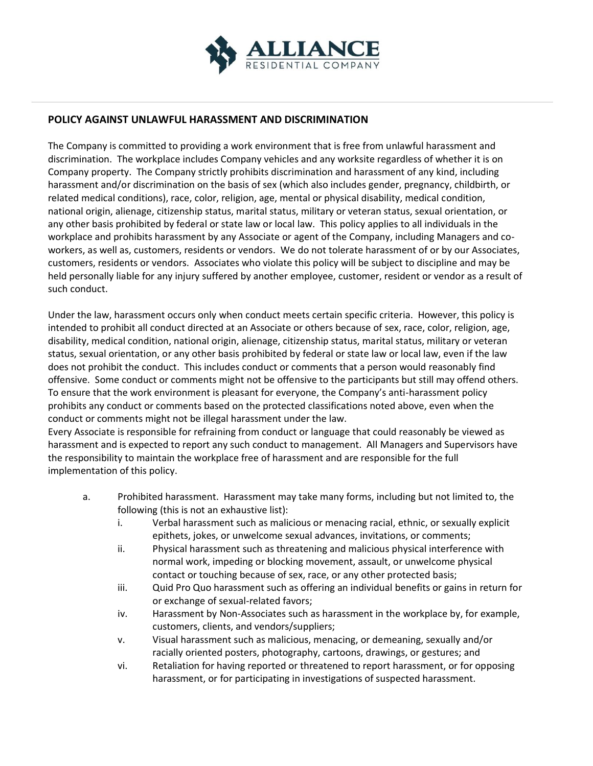

## **POLICY AGAINST UNLAWFUL HARASSMENT AND DISCRIMINATION**

The Company is committed to providing a work environment that is free from unlawful harassment and discrimination. The workplace includes Company vehicles and any worksite regardless of whether it is on Company property. The Company strictly prohibits discrimination and harassment of any kind, including harassment and/or discrimination on the basis of sex (which also includes gender, pregnancy, childbirth, or related medical conditions), race, color, religion, age, mental or physical disability, medical condition, national origin, alienage, citizenship status, marital status, military or veteran status, sexual orientation, or any other basis prohibited by federal or state law or local law. This policy applies to all individuals in the workplace and prohibits harassment by any Associate or agent of the Company, including Managers and coworkers, as well as, customers, residents or vendors. We do not tolerate harassment of or by our Associates, customers, residents or vendors. Associates who violate this policy will be subject to discipline and may be held personally liable for any injury suffered by another employee, customer, resident or vendor as a result of such conduct.

Under the law, harassment occurs only when conduct meets certain specific criteria. However, this policy is intended to prohibit all conduct directed at an Associate or others because of sex, race, color, religion, age, disability, medical condition, national origin, alienage, citizenship status, marital status, military or veteran status, sexual orientation, or any other basis prohibited by federal or state law or local law, even if the law does not prohibit the conduct. This includes conduct or comments that a person would reasonably find offensive. Some conduct or comments might not be offensive to the participants but still may offend others. To ensure that the work environment is pleasant for everyone, the Company's anti-harassment policy prohibits any conduct or comments based on the protected classifications noted above, even when the conduct or comments might not be illegal harassment under the law.

Every Associate is responsible for refraining from conduct or language that could reasonably be viewed as harassment and is expected to report any such conduct to management. All Managers and Supervisors have the responsibility to maintain the workplace free of harassment and are responsible for the full implementation of this policy.

- a. Prohibited harassment. Harassment may take many forms, including but not limited to, the following (this is not an exhaustive list):
	- i. Verbal harassment such as malicious or menacing racial, ethnic, or sexually explicit epithets, jokes, or unwelcome sexual advances, invitations, or comments;
	- ii. Physical harassment such as threatening and malicious physical interference with normal work, impeding or blocking movement, assault, or unwelcome physical contact or touching because of sex, race, or any other protected basis;
	- iii. Quid Pro Quo harassment such as offering an individual benefits or gains in return for or exchange of sexual-related favors;
	- iv. Harassment by Non-Associates such as harassment in the workplace by, for example, customers, clients, and vendors/suppliers;
	- v. Visual harassment such as malicious, menacing, or demeaning, sexually and/or racially oriented posters, photography, cartoons, drawings, or gestures; and
	- vi. Retaliation for having reported or threatened to report harassment, or for opposing harassment, or for participating in investigations of suspected harassment.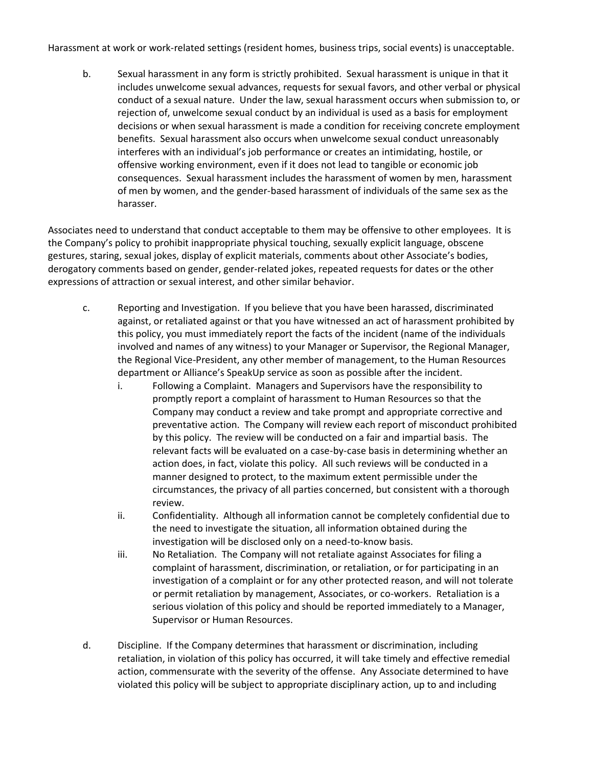Harassment at work or work-related settings (resident homes, business trips, social events) is unacceptable.

b. Sexual harassment in any form is strictly prohibited. Sexual harassment is unique in that it includes unwelcome sexual advances, requests for sexual favors, and other verbal or physical conduct of a sexual nature. Under the law, sexual harassment occurs when submission to, or rejection of, unwelcome sexual conduct by an individual is used as a basis for employment decisions or when sexual harassment is made a condition for receiving concrete employment benefits. Sexual harassment also occurs when unwelcome sexual conduct unreasonably interferes with an individual's job performance or creates an intimidating, hostile, or offensive working environment, even if it does not lead to tangible or economic job consequences. Sexual harassment includes the harassment of women by men, harassment of men by women, and the gender-based harassment of individuals of the same sex as the harasser.

Associates need to understand that conduct acceptable to them may be offensive to other employees. It is the Company's policy to prohibit inappropriate physical touching, sexually explicit language, obscene gestures, staring, sexual jokes, display of explicit materials, comments about other Associate's bodies, derogatory comments based on gender, gender-related jokes, repeated requests for dates or the other expressions of attraction or sexual interest, and other similar behavior.

- c. Reporting and Investigation. If you believe that you have been harassed, discriminated against, or retaliated against or that you have witnessed an act of harassment prohibited by this policy, you must immediately report the facts of the incident (name of the individuals involved and names of any witness) to your Manager or Supervisor, the Regional Manager, the Regional Vice-President, any other member of management, to the Human Resources department or Alliance's SpeakUp service as soon as possible after the incident.
	- i. Following a Complaint. Managers and Supervisors have the responsibility to promptly report a complaint of harassment to Human Resources so that the Company may conduct a review and take prompt and appropriate corrective and preventative action. The Company will review each report of misconduct prohibited by this policy. The review will be conducted on a fair and impartial basis. The relevant facts will be evaluated on a case-by-case basis in determining whether an action does, in fact, violate this policy. All such reviews will be conducted in a manner designed to protect, to the maximum extent permissible under the circumstances, the privacy of all parties concerned, but consistent with a thorough review.
	- ii. Confidentiality. Although all information cannot be completely confidential due to the need to investigate the situation, all information obtained during the investigation will be disclosed only on a need-to-know basis.
	- iii. No Retaliation. The Company will not retaliate against Associates for filing a complaint of harassment, discrimination, or retaliation, or for participating in an investigation of a complaint or for any other protected reason, and will not tolerate or permit retaliation by management, Associates, or co-workers. Retaliation is a serious violation of this policy and should be reported immediately to a Manager, Supervisor or Human Resources.
- d. Discipline. If the Company determines that harassment or discrimination, including retaliation, in violation of this policy has occurred, it will take timely and effective remedial action, commensurate with the severity of the offense. Any Associate determined to have violated this policy will be subject to appropriate disciplinary action, up to and including